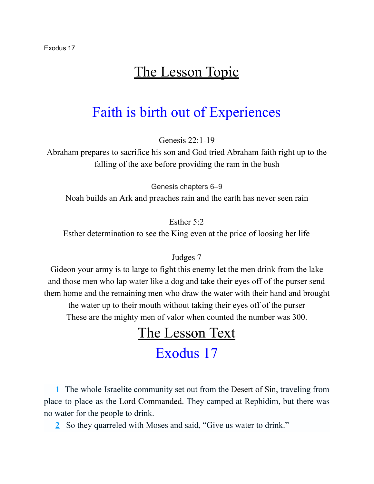## The Lesson Topic

## Faith is birth out of Experiences

Genesis  $22:1-19$ 

Abraham prepares to sacrifice his son and God tried Abraham faith right up to the falling of the axe before providing the ram in the bush

Genesis chapters 6–9

Noah builds an Ark and preaches rain and the earth has never seen rain

Esther 5:2

Esther determination to see the King even at the price of loosing her life

#### Judges 7

Gideon your army is to large to fight this enemy let the men drink from the lake and those men who lap water like a dog and take their eyes off of the purser send them home and the remaining men who draw the water with their hand and brought the water up to their mouth without taking their eyes off of the purser These are the mighty men of valor when counted the number was 300.

# The Lesson Text

## Exodus 17

[1](http://biblehub.com/exodus/17-1.htm) The whole Israelite community set out from the Desert of Sin, traveling from place to place as the Lord Commanded. They camped at Rephidim, but there was no water for the people to drink.

[2](http://biblehub.com/exodus/17-2.htm) So they quarreled with Moses and said, "Give us water to drink."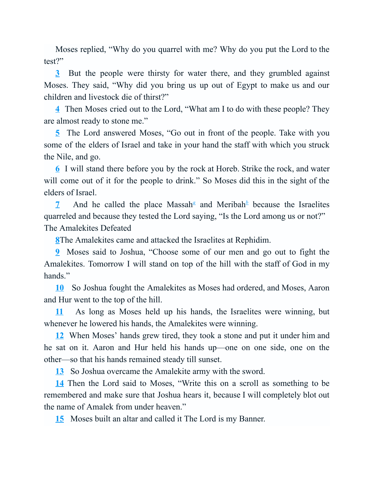Moses replied, "Why do you quarrel with me? Why do you put the Lord to the test?"

[3](http://biblehub.com/exodus/17-3.htm) But the people were thirsty for water there, and they grumbled against Moses. They said, "Why did you bring us up out of Egypt to make us and our children and livestock die of thirst?"

[4](http://biblehub.com/exodus/17-4.htm) Then Moses cried out to the Lord, "What am I to do with these people? They are almost ready to stone me."

[5](http://biblehub.com/exodus/17-5.htm) The Lord answered Moses, "Go out in front of the people. Take with you some of the elders of Israel and take in your hand the staff with which you struck the Nile, and go.

[6](http://biblehub.com/exodus/17-6.htm) I will stand there before you by the rock at Horeb. Strike the rock, and water will come out of it for the people to drink." So Moses did this in the sight of the elders of Israel.

[7](http://biblehub.com/exodus/17-7.htm) And he c[a](http://biblehub.com/niv/exodus/17.htm#footnotes)lled the place Massah<sup> $\alpha$ </sup> and Meri[b](http://biblehub.com/niv/exodus/17.htm#footnotes)ah<sup> $\beta$ </sup> because the Israelites quarreled and because they tested the Lord saying, "Is the Lord among us or not?" The Amalekites Defeated

[8T](http://biblehub.com/exodus/17-8.htm)he Amalekites came and attacked the Israelites at Rephidim.

[9](http://biblehub.com/exodus/17-9.htm) Moses said to Joshua, "Choose some of our men and go out to fight the Amalekites. Tomorrow I will stand on top of the hill with the staff of God in my hands."

[10](http://biblehub.com/exodus/17-10.htm) So Joshua fought the Amalekites as Moses had ordered, and Moses, Aaron and Hur went to the top of the hill.

[11](http://biblehub.com/exodus/17-11.htm) As long as Moses held up his hands, the Israelites were winning, but whenever he lowered his hands, the Amalekites were winning.

[12](http://biblehub.com/exodus/17-12.htm) When Moses' hands grew tired, they took a stone and put it under him and he sat on it. Aaron and Hur held his hands up—one on one side, one on the other—so that his hands remained steady till sunset.

[13](http://biblehub.com/exodus/17-13.htm) So Joshua overcame the Amalekite army with the sword.

[14](http://biblehub.com/exodus/17-14.htm) Then the Lord said to Moses, "Write this on a scroll as something to be remembered and make sure that Joshua hears it, because I will completely blot out the name of Amalek from under heaven."

[15](http://biblehub.com/exodus/17-15.htm) Moses built an altar and called it The Lord is my Banner.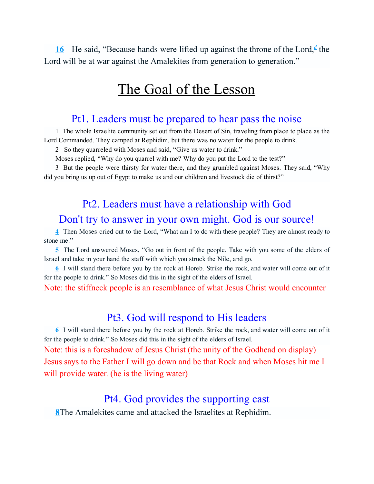[16](http://biblehub.com/exodus/17-16.htm) He sai[d](http://biblehub.com/niv/exodus/17.htm#footnotes), "Because hands were lifted up against the throne of the Lord,<sup>*d*</sup> the Lord will be at war against the Amalekites from generation to generation."

## The Goal of the Lesson

### Pt1. Leaders must be prepared to hear pass the noise

[1](http://biblehub.com/exodus/17-1.htm) The whole Israelite community set out from the Desert of Sin, traveling from place to place as the Lord Commanded. They camped at Rephidim, but there was no water for the people to drink.

[2](http://biblehub.com/exodus/17-2.htm) So they quarreled with Moses and said, "Give us water to drink."

Moses replied, "Why do you quarrel with me? Why do you put the Lord to the test?"

[3](http://biblehub.com/exodus/17-3.htm) But the people were thirsty for water there, and they grumbled against Moses. They said, "Why did you bring us up out of Egypt to make us and our children and livestock die of thirst?"

### Pt2. Leaders must have a relationship with God

### Don't try to answer in your own might. God is our source!

[4](http://biblehub.com/exodus/17-4.htm) Then Moses cried out to the Lord, "What am I to do with these people? They are almost ready to stone me."

[5](http://biblehub.com/exodus/17-5.htm) The Lord answered Moses, "Go out in front of the people. Take with you some of the elders of Israel and take in your hand the staff with which you struck the Nile, and go.

[6](http://biblehub.com/exodus/17-6.htm) I will stand there before you by the rock at Horeb. Strike the rock, and water will come out of it for the people to drink." So Moses did this in the sight of the elders of Israel.

Note: the stiffneck people is an resemblance of what Jesus Christ would encounter

### Pt3. God will respond to His leaders

[6](http://biblehub.com/exodus/17-6.htm) I will stand there before you by the rock at Horeb. Strike the rock, and water will come out of it for the people to drink." So Moses did this in the sight of the elders of Israel.

Note: this is a foreshadow of Jesus Christ (the unity of the Godhead on display) Jesus says to the Father I will go down and be that Rock and when Moses hit me I will provide water. (he is the living water)

### Pt4. God provides the supporting cast

[8T](http://biblehub.com/exodus/17-8.htm)he Amalekites came and attacked the Israelites at Rephidim.